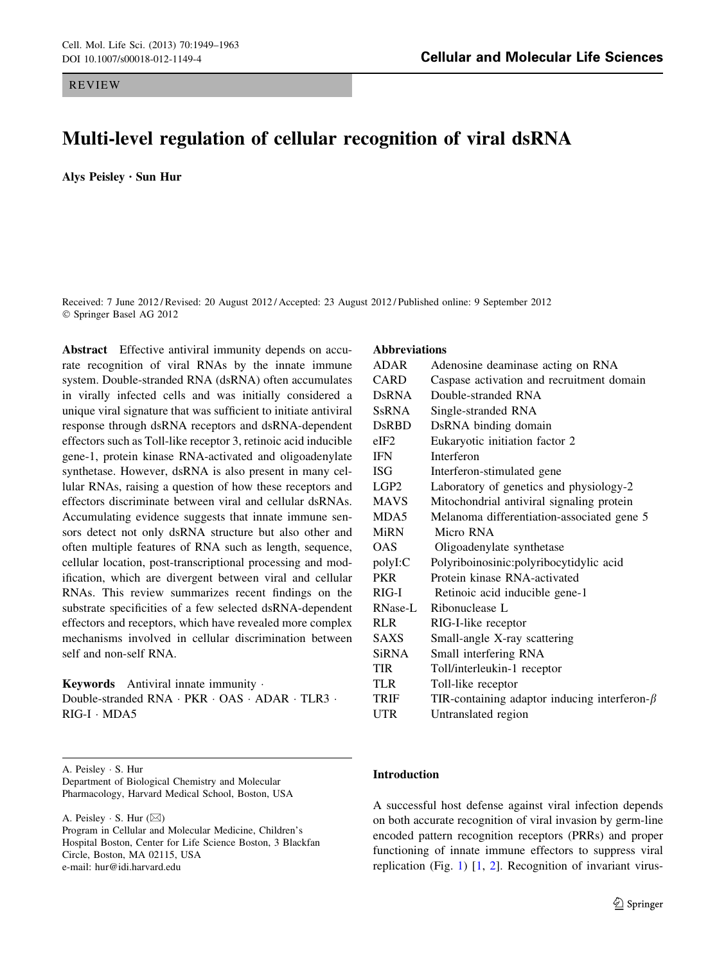# Multi-level regulation of cellular recognition of viral dsRNA

Alys Peisley • Sun Hur

Received: 7 June 2012 / Revised: 20 August 2012 / Accepted: 23 August 2012 / Published online: 9 September 2012 © Springer Basel AG 2012

Abstract Effective antiviral immunity depends on accurate recognition of viral RNAs by the innate immune system. Double-stranded RNA (dsRNA) often accumulates in virally infected cells and was initially considered a unique viral signature that was sufficient to initiate antiviral response through dsRNA receptors and dsRNA-dependent effectors such as Toll-like receptor 3, retinoic acid inducible gene-1, protein kinase RNA-activated and oligoadenylate synthetase. However, dsRNA is also present in many cellular RNAs, raising a question of how these receptors and effectors discriminate between viral and cellular dsRNAs. Accumulating evidence suggests that innate immune sensors detect not only dsRNA structure but also other and often multiple features of RNA such as length, sequence, cellular location, post-transcriptional processing and modification, which are divergent between viral and cellular RNAs. This review summarizes recent findings on the substrate specificities of a few selected dsRNA-dependent effectors and receptors, which have revealed more complex mechanisms involved in cellular discrimination between self and non-self RNA.

Keywords Antiviral innate immunity . Double-stranded RNA · PKR · OAS · ADAR · TLR3 · RIG-I - MDA5

A. Peisley - S. Hur Department of Biological Chemistry and Molecular Pharmacology, Harvard Medical School, Boston, USA

A. Peisley  $\cdot$  S. Hur ( $\boxtimes$ )

Program in Cellular and Molecular Medicine, Children's Hospital Boston, Center for Life Science Boston, 3 Blackfan Circle, Boston, MA 02115, USA e-mail: hur@idi.harvard.edu

#### Abbreviations

| <b>ADAR</b>      | Adenosine deaminase acting on RNA                   |
|------------------|-----------------------------------------------------|
| <b>CARD</b>      | Caspase activation and recruitment domain           |
| DsRNA            | Double-stranded RNA                                 |
| <b>SsRNA</b>     | Single-stranded RNA                                 |
| <b>D</b> sRBD    | DsRNA binding domain                                |
| $e$ IF2          | Eukaryotic initiation factor 2                      |
| <b>IFN</b>       | Interferon                                          |
| ISG              | Interferon-stimulated gene                          |
| LGP <sub>2</sub> | Laboratory of genetics and physiology-2             |
| <b>MAVS</b>      | Mitochondrial antiviral signaling protein           |
| MDA5             | Melanoma differentiation-associated gene 5          |
| <b>MiRN</b>      | Micro RNA                                           |
| <b>OAS</b>       | Oligoadenylate synthetase                           |
| polyI:C          | Polyriboinosinic:polyribocytidylic acid             |
| <b>PKR</b>       | Protein kinase RNA-activated                        |
| $RIG-I$          | Retinoic acid inducible gene-1                      |
| <b>RNase-L</b>   | Ribonuclease L                                      |
| <b>RLR</b>       | RIG-I-like receptor                                 |
| <b>SAXS</b>      | Small-angle X-ray scattering                        |
| <b>SiRNA</b>     | Small interfering RNA                               |
| <b>TIR</b>       | Toll/interleukin-1 receptor                         |
| TLR              | Toll-like receptor                                  |
| <b>TRIF</b>      | TIR-containing adaptor inducing interferon- $\beta$ |
| UTR              | Untranslated region                                 |

## Introduction

A successful host defense against viral infection depends on both accurate recognition of viral invasion by germ-line encoded pattern recognition receptors (PRRs) and proper functioning of innate immune effectors to suppress viral replication (Fig. [1](#page-1-0)) [[1,](#page-11-0) [2\]](#page-11-0). Recognition of invariant virus-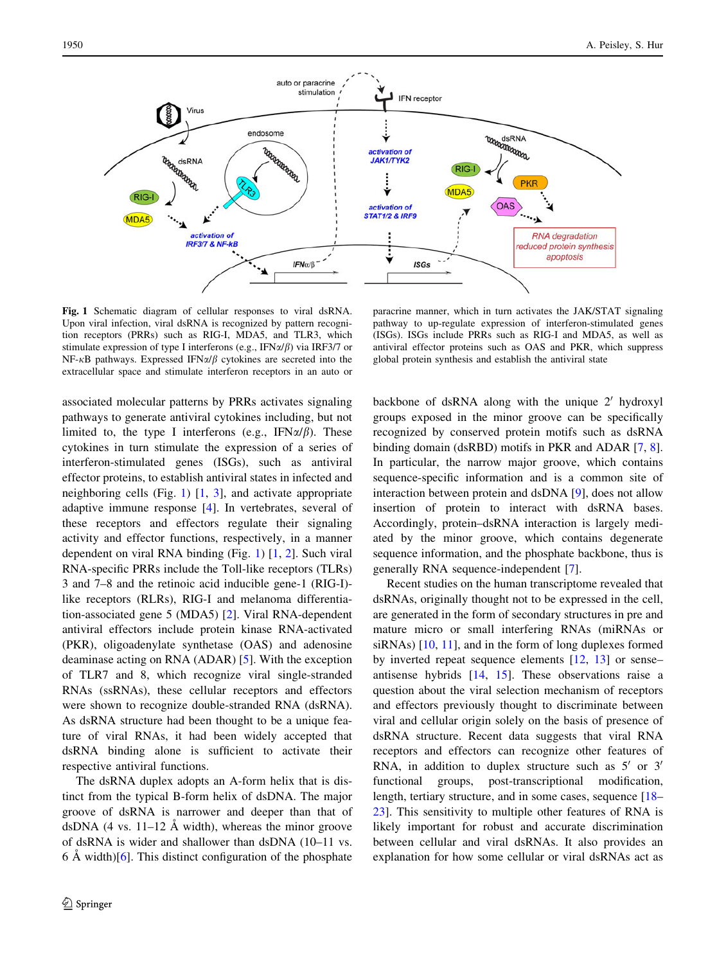<span id="page-1-0"></span>

Fig. 1 Schematic diagram of cellular responses to viral dsRNA. Upon viral infection, viral dsRNA is recognized by pattern recognition receptors (PRRs) such as RIG-I, MDA5, and TLR3, which stimulate expression of type I interferons (e.g., IFN $\alpha/\beta$ ) via IRF3/7 or NF- $\kappa$ B pathways. Expressed IFN $\alpha/\beta$  cytokines are secreted into the extracellular space and stimulate interferon receptors in an auto or

paracrine manner, which in turn activates the JAK/STAT signaling pathway to up-regulate expression of interferon-stimulated genes (ISGs). ISGs include PRRs such as RIG-I and MDA5, as well as antiviral effector proteins such as OAS and PKR, which suppress global protein synthesis and establish the antiviral state

associated molecular patterns by PRRs activates signaling pathways to generate antiviral cytokines including, but not limited to, the type I interferons (e.g., IFN $\alpha/\beta$ ). These cytokines in turn stimulate the expression of a series of interferon-stimulated genes (ISGs), such as antiviral effector proteins, to establish antiviral states in infected and neighboring cells (Fig. 1)  $[1, 3]$  $[1, 3]$  $[1, 3]$  $[1, 3]$  $[1, 3]$ , and activate appropriate adaptive immune response [\[4](#page-11-0)]. In vertebrates, several of these receptors and effectors regulate their signaling activity and effector functions, respectively, in a manner dependent on viral RNA binding (Fig. 1) [[1,](#page-11-0) [2](#page-11-0)]. Such viral RNA-specific PRRs include the Toll-like receptors (TLRs) 3 and 7–8 and the retinoic acid inducible gene-1 (RIG-I) like receptors (RLRs), RIG-I and melanoma differentiation-associated gene 5 (MDA5) [[2\]](#page-11-0). Viral RNA-dependent antiviral effectors include protein kinase RNA-activated (PKR), oligoadenylate synthetase (OAS) and adenosine deaminase acting on RNA (ADAR) [[5](#page-11-0)]. With the exception of TLR7 and 8, which recognize viral single-stranded RNAs (ssRNAs), these cellular receptors and effectors were shown to recognize double-stranded RNA (dsRNA). As dsRNA structure had been thought to be a unique feature of viral RNAs, it had been widely accepted that dsRNA binding alone is sufficient to activate their respective antiviral functions.

The dsRNA duplex adopts an A-form helix that is distinct from the typical B-form helix of dsDNA. The major groove of dsRNA is narrower and deeper than that of dsDNA  $(4 \text{ vs. } 11-12 \text{ Å width})$ , whereas the minor groove of dsRNA is wider and shallower than dsDNA (10–11 vs.  $6 \text{ Å}$  width)[[6\]](#page-11-0). This distinct configuration of the phosphate

backbone of dsRNA along with the unique  $2'$  hydroxyl groups exposed in the minor groove can be specifically recognized by conserved protein motifs such as dsRNA binding domain (dsRBD) motifs in PKR and ADAR [\[7](#page-11-0), [8](#page-11-0)]. In particular, the narrow major groove, which contains sequence-specific information and is a common site of interaction between protein and dsDNA [\[9](#page-11-0)], does not allow insertion of protein to interact with dsRNA bases. Accordingly, protein–dsRNA interaction is largely mediated by the minor groove, which contains degenerate sequence information, and the phosphate backbone, thus is generally RNA sequence-independent [[7\]](#page-11-0).

Recent studies on the human transcriptome revealed that dsRNAs, originally thought not to be expressed in the cell, are generated in the form of secondary structures in pre and mature micro or small interfering RNAs (miRNAs or siRNAs) [[10,](#page-11-0) [11](#page-11-0)], and in the form of long duplexes formed by inverted repeat sequence elements [[12,](#page-11-0) [13](#page-11-0)] or sense– antisense hybrids [\[14](#page-11-0), [15\]](#page-11-0). These observations raise a question about the viral selection mechanism of receptors and effectors previously thought to discriminate between viral and cellular origin solely on the basis of presence of dsRNA structure. Recent data suggests that viral RNA receptors and effectors can recognize other features of RNA, in addition to duplex structure such as  $5'$  or  $3'$ functional groups, post-transcriptional modification, length, tertiary structure, and in some cases, sequence [\[18](#page-11-0)– [23](#page-12-0)]. This sensitivity to multiple other features of RNA is likely important for robust and accurate discrimination between cellular and viral dsRNAs. It also provides an explanation for how some cellular or viral dsRNAs act as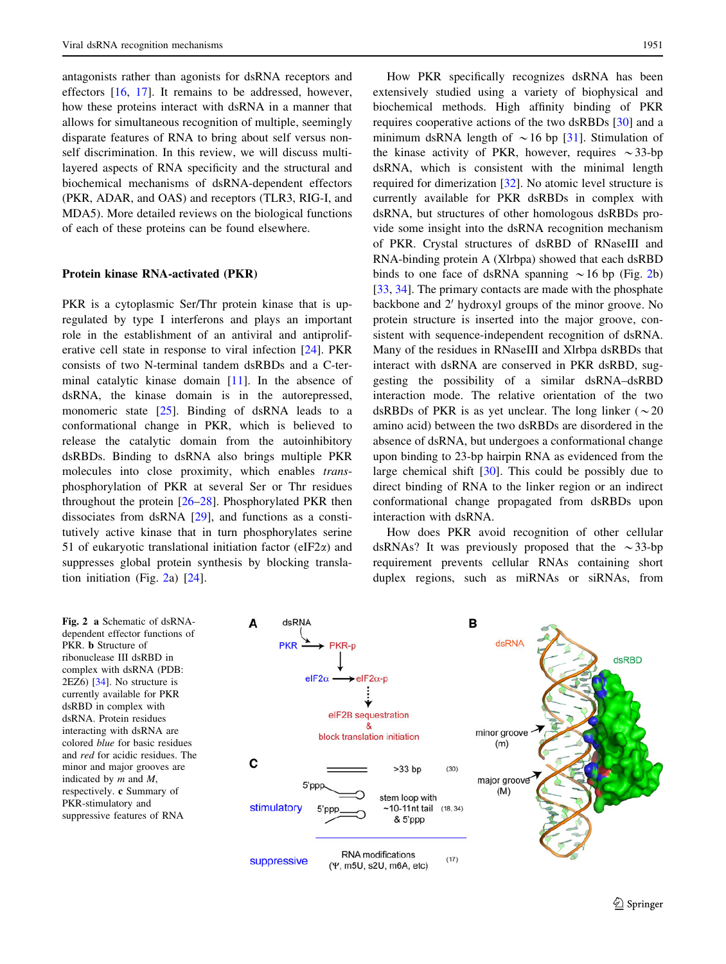<span id="page-2-0"></span>antagonists rather than agonists for dsRNA receptors and effectors [\[16](#page-11-0), [17](#page-11-0)]. It remains to be addressed, however, how these proteins interact with dsRNA in a manner that allows for simultaneous recognition of multiple, seemingly disparate features of RNA to bring about self versus nonself discrimination. In this review, we will discuss multilayered aspects of RNA specificity and the structural and biochemical mechanisms of dsRNA-dependent effectors (PKR, ADAR, and OAS) and receptors (TLR3, RIG-I, and MDA5). More detailed reviews on the biological functions of each of these proteins can be found elsewhere.

#### Protein kinase RNA-activated (PKR)

PKR is a cytoplasmic Ser/Thr protein kinase that is upregulated by type I interferons and plays an important role in the establishment of an antiviral and antiproliferative cell state in response to viral infection [\[24](#page-12-0)]. PKR consists of two N-terminal tandem dsRBDs and a C-terminal catalytic kinase domain [[11\]](#page-11-0). In the absence of dsRNA, the kinase domain is in the autorepressed, monomeric state [\[25](#page-12-0)]. Binding of dsRNA leads to a conformational change in PKR, which is believed to release the catalytic domain from the autoinhibitory dsRBDs. Binding to dsRNA also brings multiple PKR molecules into close proximity, which enables transphosphorylation of PKR at several Ser or Thr residues throughout the protein [\[26–28](#page-12-0)]. Phosphorylated PKR then dissociates from dsRNA [[29\]](#page-12-0), and functions as a constitutively active kinase that in turn phosphorylates serine 51 of eukaryotic translational initiation factor (eIF2 $\alpha$ ) and suppresses global protein synthesis by blocking translation initiation (Fig. 2a) [\[24\]](#page-12-0).

How PKR specifically recognizes dsRNA has been extensively studied using a variety of biophysical and biochemical methods. High affinity binding of PKR requires cooperative actions of the two dsRBDs [\[30](#page-12-0)] and a minimum dsRNA length of  $\sim$  16 bp [\[31](#page-12-0)]. Stimulation of the kinase activity of PKR, however, requires  $\sim$ 33-bp dsRNA, which is consistent with the minimal length required for dimerization [[32\]](#page-12-0). No atomic level structure is currently available for PKR dsRBDs in complex with dsRNA, but structures of other homologous dsRBDs provide some insight into the dsRNA recognition mechanism of PKR. Crystal structures of dsRBD of RNaseIII and RNA-binding protein A (Xlrbpa) showed that each dsRBD binds to one face of dsRNA spanning  $\sim$  16 bp (Fig. 2b) [\[33](#page-12-0), [34](#page-12-0)]. The primary contacts are made with the phosphate backbone and  $2'$  hydroxyl groups of the minor groove. No protein structure is inserted into the major groove, consistent with sequence-independent recognition of dsRNA. Many of the residues in RNaseIII and Xlrbpa dsRBDs that interact with dsRNA are conserved in PKR dsRBD, suggesting the possibility of a similar dsRNA–dsRBD interaction mode. The relative orientation of the two dsRBDs of PKR is as yet unclear. The long linker ( $\sim$ 20 amino acid) between the two dsRBDs are disordered in the absence of dsRNA, but undergoes a conformational change upon binding to 23-bp hairpin RNA as evidenced from the large chemical shift [[30\]](#page-12-0). This could be possibly due to direct binding of RNA to the linker region or an indirect conformational change propagated from dsRBDs upon interaction with dsRNA.

How does PKR avoid recognition of other cellular dsRNAs? It was previously proposed that the  $\sim$ 33-bp requirement prevents cellular RNAs containing short duplex regions, such as miRNAs or siRNAs, from

Fig. 2 a Schematic of dsRNAdependent effector functions of PKR. **b** Structure of ribonuclease III dsRBD in complex with dsRNA (PDB: 2EZ6) [\[34\]](#page-12-0). No structure is currently available for PKR dsRBD in complex with dsRNA. Protein residues interacting with dsRNA are colored blue for basic residues and red for acidic residues. The minor and major grooves are indicated by m and M, respectively. c Summary of PKR-stimulatory and suppressive features of RNA

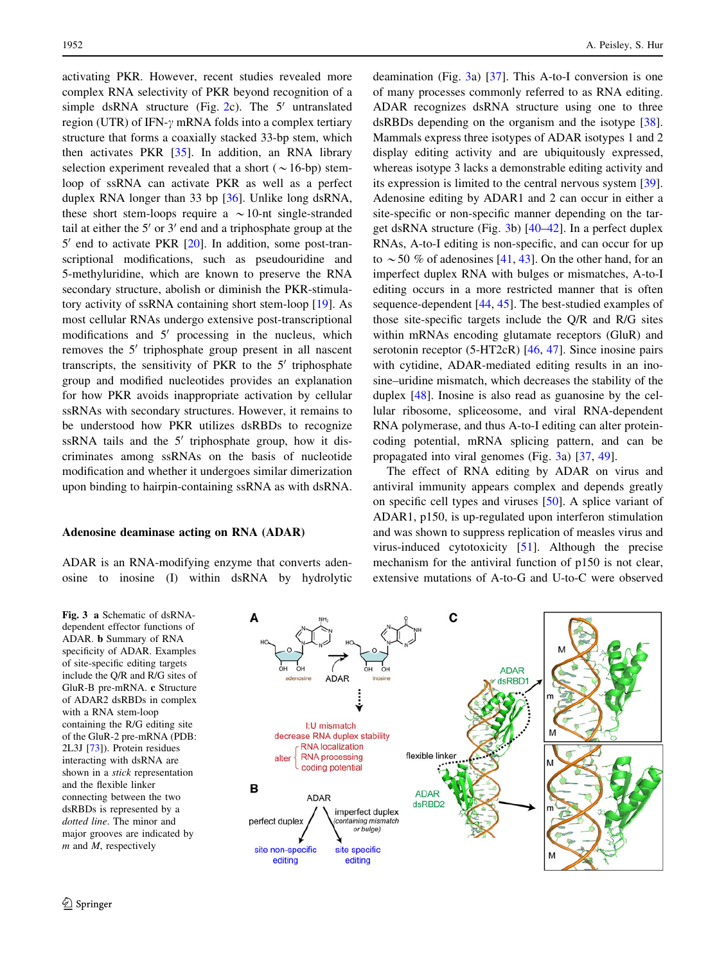<span id="page-3-0"></span>activating PKR. However, recent studies revealed more complex RNA selectivity of PKR beyond recognition of a simple dsRNA structure (Fig. [2](#page-2-0)c). The  $5'$  untranslated region (UTR) of IFN- $\gamma$  mRNA folds into a complex tertiary structure that forms a coaxially stacked 33-bp stem, which then activates PKR [\[35](#page-12-0)]. In addition, an RNA library selection experiment revealed that a short ( $\sim$  16-bp) stemloop of ssRNA can activate PKR as well as a perfect duplex RNA longer than 33 bp [[36\]](#page-12-0). Unlike long dsRNA, these short stem-loops require a  $\sim$  10-nt single-stranded tail at either the  $5'$  or  $3'$  end and a triphosphate group at the  $5'$  end to activate PKR  $[20]$  $[20]$ . In addition, some post-transcriptional modifications, such as pseudouridine and 5-methyluridine, which are known to preserve the RNA secondary structure, abolish or diminish the PKR-stimulatory activity of ssRNA containing short stem-loop [[19\]](#page-11-0). As most cellular RNAs undergo extensive post-transcriptional modifications and  $5'$  processing in the nucleus, which removes the  $5'$  triphosphate group present in all nascent transcripts, the sensitivity of PKR to the  $5'$  triphosphate group and modified nucleotides provides an explanation for how PKR avoids inappropriate activation by cellular ssRNAs with secondary structures. However, it remains to be understood how PKR utilizes dsRBDs to recognize ssRNA tails and the  $5'$  triphosphate group, how it discriminates among ssRNAs on the basis of nucleotide modification and whether it undergoes similar dimerization upon binding to hairpin-containing ssRNA as with dsRNA.

#### Adenosine deaminase acting on RNA (ADAR)

ADAR is an RNA-modifying enzyme that converts adenosine to inosine (I) within dsRNA by hydrolytic

Fig. 3 a Schematic of dsRNAdependent effector functions of ADAR. b Summary of RNA specificity of ADAR. Examples of site-specific editing targets include the Q/R and R/G sites of GluR-B pre-mRNA. c Structure of ADAR2 dsRBDs in complex with a RNA stem-loop containing the R/G editing site of the GluR-2 pre-mRNA (PDB: 2L3J [[73](#page-13-0)]). Protein residues interacting with dsRNA are shown in a stick representation and the flexible linker connecting between the two dsRBDs is represented by a dotted line. The minor and major grooves are indicated by  $m$  and  $M$ , respectively

deamination (Fig. 3a) [[37\]](#page-12-0). This A-to-I conversion is one of many processes commonly referred to as RNA editing. ADAR recognizes dsRNA structure using one to three dsRBDs depending on the organism and the isotype [\[38](#page-12-0)]. Mammals express three isotypes of ADAR isotypes 1 and 2 display editing activity and are ubiquitously expressed, whereas isotype 3 lacks a demonstrable editing activity and its expression is limited to the central nervous system [\[39](#page-12-0)]. Adenosine editing by ADAR1 and 2 can occur in either a site-specific or non-specific manner depending on the target dsRNA structure (Fig. 3b) [[40–42\]](#page-12-0). In a perfect duplex RNAs, A-to-I editing is non-specific, and can occur for up to  $\sim$  50 % of adenosines [[41,](#page-12-0) [43\]](#page-12-0). On the other hand, for an imperfect duplex RNA with bulges or mismatches, A-to-I editing occurs in a more restricted manner that is often sequence-dependent [\[44](#page-12-0), [45](#page-12-0)]. The best-studied examples of those site-specific targets include the Q/R and R/G sites within mRNAs encoding glutamate receptors (GluR) and serotonin receptor (5-HT2cR) [\[46](#page-12-0), [47\]](#page-12-0). Since inosine pairs with cytidine, ADAR-mediated editing results in an inosine–uridine mismatch, which decreases the stability of the duplex [\[48](#page-12-0)]. Inosine is also read as guanosine by the cellular ribosome, spliceosome, and viral RNA-dependent RNA polymerase, and thus A-to-I editing can alter proteincoding potential, mRNA splicing pattern, and can be propagated into viral genomes (Fig. 3a) [\[37](#page-12-0), [49](#page-12-0)].

The effect of RNA editing by ADAR on virus and antiviral immunity appears complex and depends greatly on specific cell types and viruses [\[50](#page-12-0)]. A splice variant of ADAR1, p150, is up-regulated upon interferon stimulation and was shown to suppress replication of measles virus and virus-induced cytotoxicity [\[51](#page-12-0)]. Although the precise mechanism for the antiviral function of p150 is not clear, extensive mutations of A-to-G and U-to-C were observed

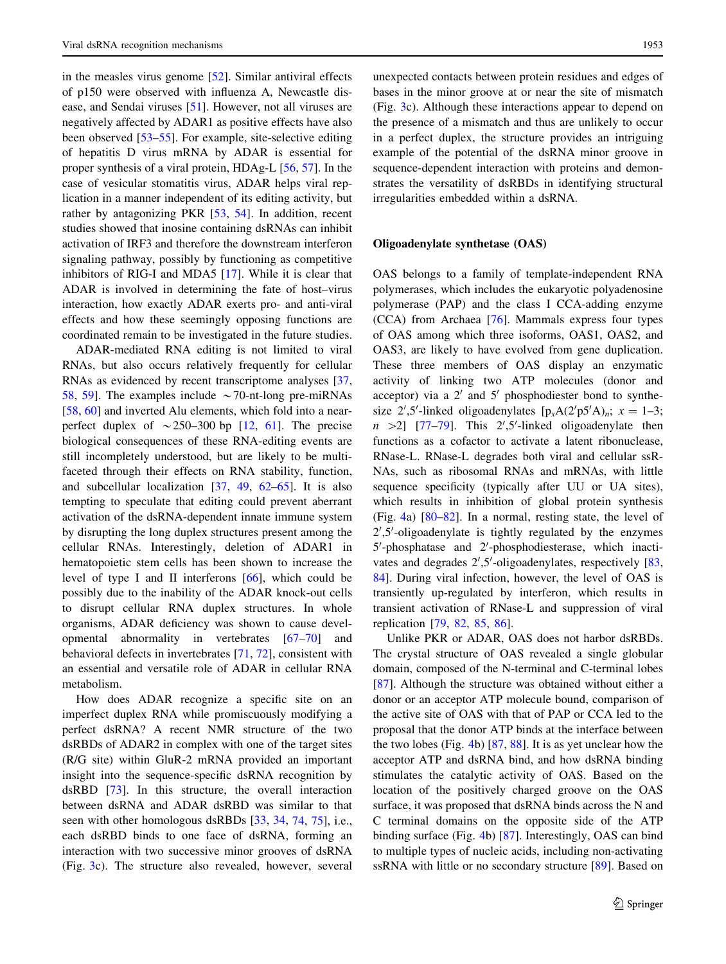in the measles virus genome [[52\]](#page-12-0). Similar antiviral effects of p150 were observed with influenza A, Newcastle disease, and Sendai viruses [[51\]](#page-12-0). However, not all viruses are negatively affected by ADAR1 as positive effects have also been observed [\[53–55](#page-12-0)]. For example, site-selective editing of hepatitis D virus mRNA by ADAR is essential for proper synthesis of a viral protein, HDAg-L [[56,](#page-12-0) [57\]](#page-12-0). In the case of vesicular stomatitis virus, ADAR helps viral replication in a manner independent of its editing activity, but rather by antagonizing PKR [[53,](#page-12-0) [54](#page-12-0)]. In addition, recent studies showed that inosine containing dsRNAs can inhibit activation of IRF3 and therefore the downstream interferon signaling pathway, possibly by functioning as competitive inhibitors of RIG-I and MDA5 [[17\]](#page-11-0). While it is clear that ADAR is involved in determining the fate of host–virus interaction, how exactly ADAR exerts pro- and anti-viral effects and how these seemingly opposing functions are coordinated remain to be investigated in the future studies.

ADAR-mediated RNA editing is not limited to viral RNAs, but also occurs relatively frequently for cellular RNAs as evidenced by recent transcriptome analyses [[37,](#page-12-0) [58,](#page-12-0) [59](#page-12-0)]. The examples include  $\sim$  70-nt-long pre-miRNAs [\[58](#page-12-0), [60\]](#page-12-0) and inverted Alu elements, which fold into a nearperfect duplex of  $\sim$  250–300 bp [\[12](#page-11-0), [61\]](#page-12-0). The precise biological consequences of these RNA-editing events are still incompletely understood, but are likely to be multifaceted through their effects on RNA stability, function, and subcellular localization [\[37](#page-12-0), [49,](#page-12-0) [62–65\]](#page-12-0). It is also tempting to speculate that editing could prevent aberrant activation of the dsRNA-dependent innate immune system by disrupting the long duplex structures present among the cellular RNAs. Interestingly, deletion of ADAR1 in hematopoietic stem cells has been shown to increase the level of type I and II interferons [\[66](#page-12-0)], which could be possibly due to the inability of the ADAR knock-out cells to disrupt cellular RNA duplex structures. In whole organisms, ADAR deficiency was shown to cause developmental abnormality in vertebrates [[67](#page-12-0)[–70](#page-13-0)] and behavioral defects in invertebrates [\[71](#page-13-0), [72](#page-13-0)], consistent with an essential and versatile role of ADAR in cellular RNA metabolism.

How does ADAR recognize a specific site on an imperfect duplex RNA while promiscuously modifying a perfect dsRNA? A recent NMR structure of the two dsRBDs of ADAR2 in complex with one of the target sites (R/G site) within GluR-2 mRNA provided an important insight into the sequence-specific dsRNA recognition by dsRBD [\[73](#page-13-0)]. In this structure, the overall interaction between dsRNA and ADAR dsRBD was similar to that seen with other homologous dsRBDs [[33,](#page-12-0) [34](#page-12-0), [74,](#page-13-0) [75](#page-13-0)], i.e., each dsRBD binds to one face of dsRNA, forming an interaction with two successive minor grooves of dsRNA (Fig. [3](#page-3-0)c). The structure also revealed, however, several

unexpected contacts between protein residues and edges of bases in the minor groove at or near the site of mismatch (Fig. [3c](#page-3-0)). Although these interactions appear to depend on the presence of a mismatch and thus are unlikely to occur in a perfect duplex, the structure provides an intriguing example of the potential of the dsRNA minor groove in sequence-dependent interaction with proteins and demonstrates the versatility of dsRBDs in identifying structural irregularities embedded within a dsRNA.

## Oligoadenylate synthetase (OAS)

OAS belongs to a family of template-independent RNA polymerases, which includes the eukaryotic polyadenosine polymerase (PAP) and the class I CCA-adding enzyme (CCA) from Archaea [[76\]](#page-13-0). Mammals express four types of OAS among which three isoforms, OAS1, OAS2, and OAS3, are likely to have evolved from gene duplication. These three members of OAS display an enzymatic activity of linking two ATP molecules (donor and acceptor) via a  $2'$  and  $5'$  phosphodiester bond to synthesize 2',5'-linked oligoadenylates  $[p_xA(2'p5'A)_n; x = 1-3;$  $n > 2$ ] [\[77–79](#page-13-0)]. This 2',5'-linked oligoadenylate then functions as a cofactor to activate a latent ribonuclease, RNase-L. RNase-L degrades both viral and cellular ssR-NAs, such as ribosomal RNAs and mRNAs, with little sequence specificity (typically after UU or UA sites), which results in inhibition of global protein synthesis (Fig. [4a](#page-5-0)) [[80–82\]](#page-13-0). In a normal, resting state, the level of  $2^{\prime},5^{\prime}$ -oligoadenylate is tightly regulated by the enzymes 5'-phosphatase and 2'-phosphodiesterase, which inacti-vates and degrades 2',5'-oligoadenylates, respectively [[83,](#page-13-0) [84](#page-13-0)]. During viral infection, however, the level of OAS is transiently up-regulated by interferon, which results in transient activation of RNase-L and suppression of viral replication [\[79](#page-13-0), [82,](#page-13-0) [85](#page-13-0), [86\]](#page-13-0).

Unlike PKR or ADAR, OAS does not harbor dsRBDs. The crystal structure of OAS revealed a single globular domain, composed of the N-terminal and C-terminal lobes [\[87](#page-13-0)]. Although the structure was obtained without either a donor or an acceptor ATP molecule bound, comparison of the active site of OAS with that of PAP or CCA led to the proposal that the donor ATP binds at the interface between the two lobes (Fig. [4](#page-5-0)b) [[87,](#page-13-0) [88\]](#page-13-0). It is as yet unclear how the acceptor ATP and dsRNA bind, and how dsRNA binding stimulates the catalytic activity of OAS. Based on the location of the positively charged groove on the OAS surface, it was proposed that dsRNA binds across the N and C terminal domains on the opposite side of the ATP binding surface (Fig. [4](#page-5-0)b) [[87\]](#page-13-0). Interestingly, OAS can bind to multiple types of nucleic acids, including non-activating ssRNA with little or no secondary structure [\[89](#page-13-0)]. Based on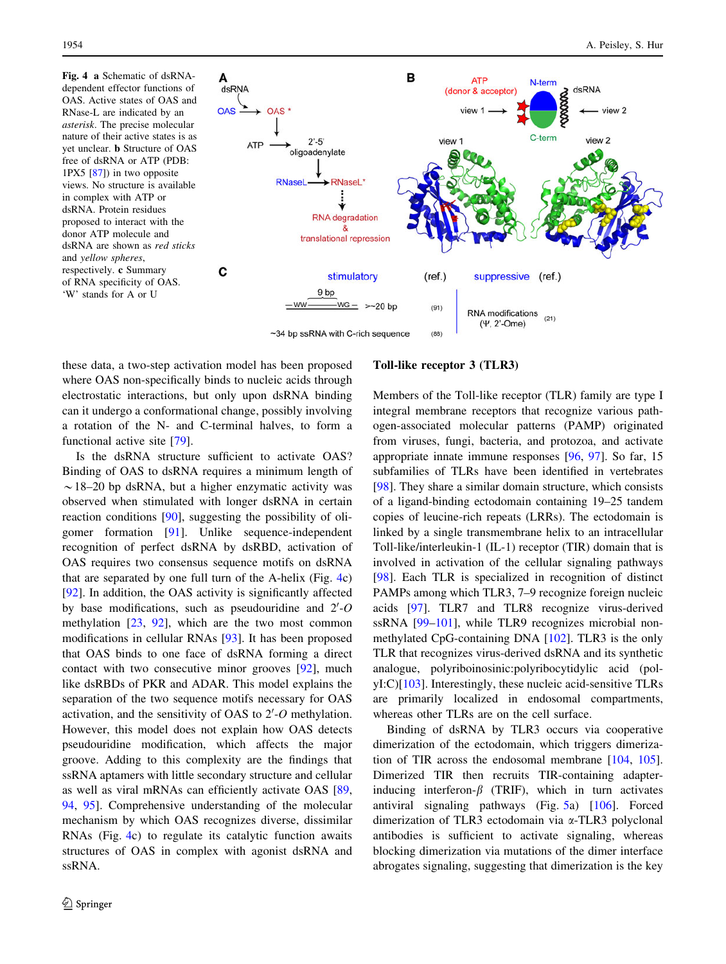<span id="page-5-0"></span>Fig. 4 a Schematic of dsRNAdependent effector functions of OAS. Active states of OAS and RNase-L are indicated by an asterisk. The precise molecular nature of their active states is as yet unclear. b Structure of OAS free of dsRNA or ATP (PDB: 1PX5 [[87](#page-13-0)]) in two opposite views. No structure is available in complex with ATP or dsRNA. Protein residues proposed to interact with the donor ATP molecule and dsRNA are shown as red sticks and yellow spheres, respectively. c Summary of RNA specificity of OAS. 'W' stands for A or U



these data, a two-step activation model has been proposed where OAS non-specifically binds to nucleic acids through electrostatic interactions, but only upon dsRNA binding can it undergo a conformational change, possibly involving a rotation of the N- and C-terminal halves, to form a functional active site [[79\]](#page-13-0).

Is the dsRNA structure sufficient to activate OAS? Binding of OAS to dsRNA requires a minimum length of  $\sim$  18–20 bp dsRNA, but a higher enzymatic activity was observed when stimulated with longer dsRNA in certain reaction conditions [[90\]](#page-13-0), suggesting the possibility of oligomer formation [\[91](#page-13-0)]. Unlike sequence-independent recognition of perfect dsRNA by dsRBD, activation of OAS requires two consensus sequence motifs on dsRNA that are separated by one full turn of the A-helix (Fig. 4c) [\[92](#page-13-0)]. In addition, the OAS activity is significantly affected by base modifications, such as pseudouridine and  $2'-O$ methylation [\[23](#page-12-0), [92\]](#page-13-0), which are the two most common modifications in cellular RNAs [[93\]](#page-13-0). It has been proposed that OAS binds to one face of dsRNA forming a direct contact with two consecutive minor grooves [[92](#page-13-0)], much like dsRBDs of PKR and ADAR. This model explains the separation of the two sequence motifs necessary for OAS activation, and the sensitivity of OAS to  $2'$ -O methylation. However, this model does not explain how OAS detects pseudouridine modification, which affects the major groove. Adding to this complexity are the findings that ssRNA aptamers with little secondary structure and cellular as well as viral mRNAs can efficiently activate OAS [[89,](#page-13-0) [94](#page-13-0), [95](#page-13-0)]. Comprehensive understanding of the molecular mechanism by which OAS recognizes diverse, dissimilar RNAs (Fig. 4c) to regulate its catalytic function awaits structures of OAS in complex with agonist dsRNA and ssRNA.

#### Toll-like receptor 3 (TLR3)

Members of the Toll-like receptor (TLR) family are type I integral membrane receptors that recognize various pathogen-associated molecular patterns (PAMP) originated from viruses, fungi, bacteria, and protozoa, and activate appropriate innate immune responses [[96,](#page-13-0) [97\]](#page-13-0). So far, 15 subfamilies of TLRs have been identified in vertebrates [\[98](#page-13-0)]. They share a similar domain structure, which consists of a ligand-binding ectodomain containing 19–25 tandem copies of leucine-rich repeats (LRRs). The ectodomain is linked by a single transmembrane helix to an intracellular Toll-like/interleukin-1 (IL-1) receptor (TIR) domain that is involved in activation of the cellular signaling pathways [\[98](#page-13-0)]. Each TLR is specialized in recognition of distinct PAMPs among which TLR3, 7–9 recognize foreign nucleic acids [\[97](#page-13-0)]. TLR7 and TLR8 recognize virus-derived ssRNA [\[99–101](#page-13-0)], while TLR9 recognizes microbial nonmethylated CpG-containing DNA [[102\]](#page-13-0). TLR3 is the only TLR that recognizes virus-derived dsRNA and its synthetic analogue, polyriboinosinic:polyribocytidylic acid (polyI:C)[[103\]](#page-13-0). Interestingly, these nucleic acid-sensitive TLRs are primarily localized in endosomal compartments, whereas other TLRs are on the cell surface.

Binding of dsRNA by TLR3 occurs via cooperative dimerization of the ectodomain, which triggers dimerization of TIR across the endosomal membrane [[104,](#page-13-0) [105](#page-13-0)]. Dimerized TIR then recruits TIR-containing adapterinducing interferon- $\beta$  (TRIF), which in turn activates antiviral signaling pathways (Fig. [5](#page-6-0)a) [\[106](#page-13-0)]. Forced dimerization of TLR3 ectodomain via a-TLR3 polyclonal antibodies is sufficient to activate signaling, whereas blocking dimerization via mutations of the dimer interface abrogates signaling, suggesting that dimerization is the key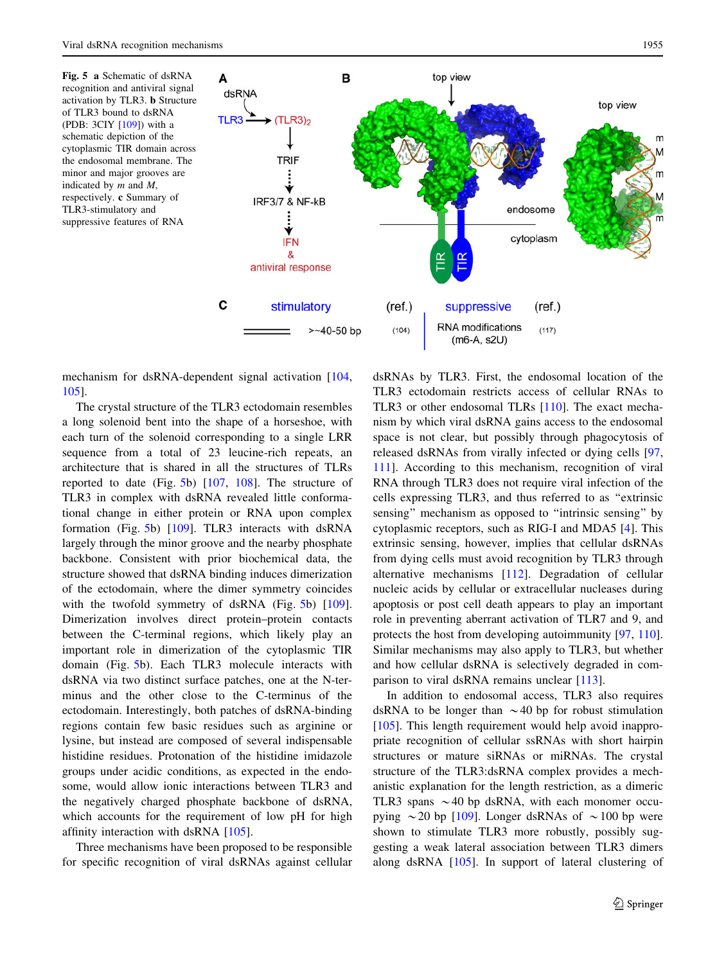<span id="page-6-0"></span>Fig. 5 a Schematic of dsRNA recognition and antiviral signal activation by TLR3. b Structure of TLR3 bound to dsRNA (PDB: 3CIY [[109\]](#page-13-0)) with a schematic depiction of the cytoplasmic TIR domain across the endosomal membrane. The minor and major grooves are indicated by  $m$  and  $M$ , respectively. c Summary of TLR3-stimulatory and suppressive features of RNA



mechanism for dsRNA-dependent signal activation [[104,](#page-13-0) [105\]](#page-13-0).

The crystal structure of the TLR3 ectodomain resembles a long solenoid bent into the shape of a horseshoe, with each turn of the solenoid corresponding to a single LRR sequence from a total of 23 leucine-rich repeats, an architecture that is shared in all the structures of TLRs reported to date (Fig. 5b) [[107,](#page-13-0) [108\]](#page-13-0). The structure of TLR3 in complex with dsRNA revealed little conformational change in either protein or RNA upon complex formation (Fig. 5b) [[109\]](#page-13-0). TLR3 interacts with dsRNA largely through the minor groove and the nearby phosphate backbone. Consistent with prior biochemical data, the structure showed that dsRNA binding induces dimerization of the ectodomain, where the dimer symmetry coincides with the twofold symmetry of dsRNA (Fig. 5b) [\[109](#page-13-0)]. Dimerization involves direct protein–protein contacts between the C-terminal regions, which likely play an important role in dimerization of the cytoplasmic TIR domain (Fig. 5b). Each TLR3 molecule interacts with dsRNA via two distinct surface patches, one at the N-terminus and the other close to the C-terminus of the ectodomain. Interestingly, both patches of dsRNA-binding regions contain few basic residues such as arginine or lysine, but instead are composed of several indispensable histidine residues. Protonation of the histidine imidazole groups under acidic conditions, as expected in the endosome, would allow ionic interactions between TLR3 and the negatively charged phosphate backbone of dsRNA, which accounts for the requirement of low pH for high affinity interaction with dsRNA [\[105](#page-13-0)].

Three mechanisms have been proposed to be responsible for specific recognition of viral dsRNAs against cellular dsRNAs by TLR3. First, the endosomal location of the TLR3 ectodomain restricts access of cellular RNAs to TLR3 or other endosomal TLRs [\[110](#page-13-0)]. The exact mechanism by which viral dsRNA gains access to the endosomal space is not clear, but possibly through phagocytosis of released dsRNAs from virally infected or dying cells [[97,](#page-13-0) [111](#page-13-0)]. According to this mechanism, recognition of viral RNA through TLR3 does not require viral infection of the cells expressing TLR3, and thus referred to as ''extrinsic sensing'' mechanism as opposed to ''intrinsic sensing'' by cytoplasmic receptors, such as RIG-I and MDA5 [\[4](#page-11-0)]. This extrinsic sensing, however, implies that cellular dsRNAs from dying cells must avoid recognition by TLR3 through alternative mechanisms [\[112](#page-13-0)]. Degradation of cellular nucleic acids by cellular or extracellular nucleases during apoptosis or post cell death appears to play an important role in preventing aberrant activation of TLR7 and 9, and protects the host from developing autoimmunity [[97](#page-13-0), [110](#page-13-0)]. Similar mechanisms may also apply to TLR3, but whether and how cellular dsRNA is selectively degraded in comparison to viral dsRNA remains unclear [\[113](#page-13-0)].

In addition to endosomal access, TLR3 also requires dsRNA to be longer than  $\sim$  40 bp for robust stimulation [\[105](#page-13-0)]. This length requirement would help avoid inappropriate recognition of cellular ssRNAs with short hairpin structures or mature siRNAs or miRNAs. The crystal structure of the TLR3:dsRNA complex provides a mechanistic explanation for the length restriction, as a dimeric TLR3 spans  $\sim$  40 bp dsRNA, with each monomer occupying  $\sim$  20 bp [[109\]](#page-13-0). Longer dsRNAs of  $\sim$  100 bp were shown to stimulate TLR3 more robustly, possibly suggesting a weak lateral association between TLR3 dimers along dsRNA [\[105](#page-13-0)]. In support of lateral clustering of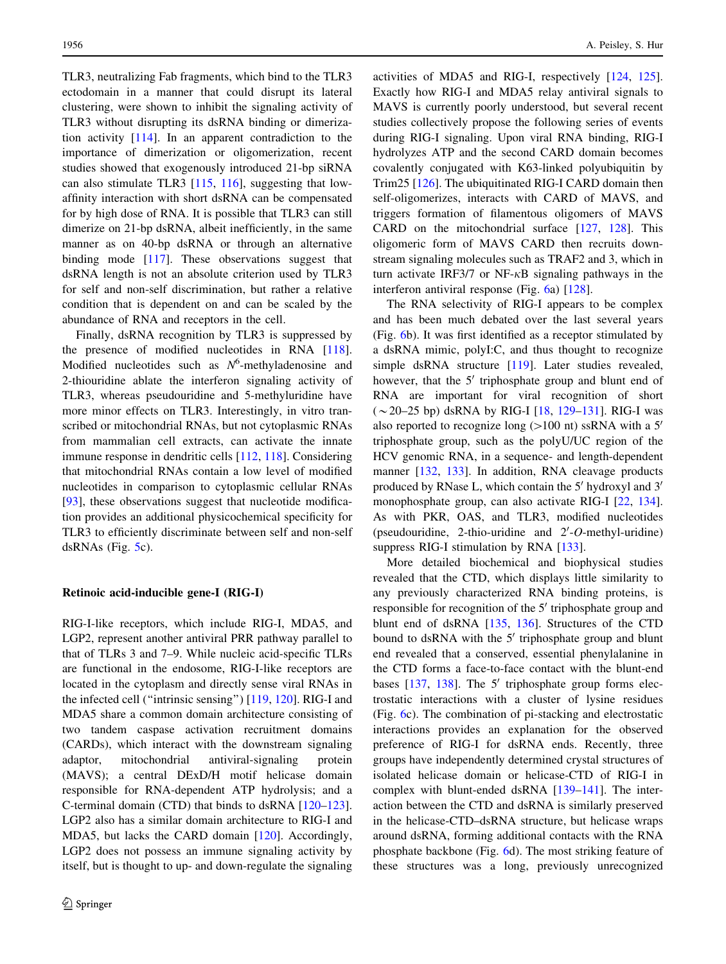TLR3, neutralizing Fab fragments, which bind to the TLR3 ectodomain in a manner that could disrupt its lateral clustering, were shown to inhibit the signaling activity of TLR3 without disrupting its dsRNA binding or dimerization activity [[114\]](#page-13-0). In an apparent contradiction to the importance of dimerization or oligomerization, recent studies showed that exogenously introduced 21-bp siRNA can also stimulate TLR3 [[115,](#page-14-0) [116](#page-14-0)], suggesting that lowaffinity interaction with short dsRNA can be compensated for by high dose of RNA. It is possible that TLR3 can still dimerize on 21-bp dsRNA, albeit inefficiently, in the same manner as on 40-bp dsRNA or through an alternative binding mode [\[117](#page-14-0)]. These observations suggest that dsRNA length is not an absolute criterion used by TLR3 for self and non-self discrimination, but rather a relative condition that is dependent on and can be scaled by the abundance of RNA and receptors in the cell.

Finally, dsRNA recognition by TLR3 is suppressed by the presence of modified nucleotides in RNA [\[118](#page-14-0)]. Modified nucleotides such as  $N^6$ -methyladenosine and 2-thiouridine ablate the interferon signaling activity of TLR3, whereas pseudouridine and 5-methyluridine have more minor effects on TLR3. Interestingly, in vitro transcribed or mitochondrial RNAs, but not cytoplasmic RNAs from mammalian cell extracts, can activate the innate immune response in dendritic cells [[112,](#page-13-0) [118\]](#page-14-0). Considering that mitochondrial RNAs contain a low level of modified nucleotides in comparison to cytoplasmic cellular RNAs [\[93](#page-13-0)], these observations suggest that nucleotide modification provides an additional physicochemical specificity for TLR3 to efficiently discriminate between self and non-self dsRNAs (Fig. [5](#page-6-0)c).

#### Retinoic acid-inducible gene-I (RIG-I)

RIG-I-like receptors, which include RIG-I, MDA5, and LGP2, represent another antiviral PRR pathway parallel to that of TLRs 3 and 7–9. While nucleic acid-specific TLRs are functional in the endosome, RIG-I-like receptors are located in the cytoplasm and directly sense viral RNAs in the infected cell (''intrinsic sensing'') [[119,](#page-14-0) [120](#page-14-0)]. RIG-I and MDA5 share a common domain architecture consisting of two tandem caspase activation recruitment domains (CARDs), which interact with the downstream signaling adaptor, mitochondrial antiviral-signaling protein (MAVS); a central DExD/H motif helicase domain responsible for RNA-dependent ATP hydrolysis; and a C-terminal domain (CTD) that binds to dsRNA [\[120–123](#page-14-0)]. LGP2 also has a similar domain architecture to RIG-I and MDA5, but lacks the CARD domain [[120\]](#page-14-0). Accordingly, LGP2 does not possess an immune signaling activity by itself, but is thought to up- and down-regulate the signaling activities of MDA5 and RIG-I, respectively [\[124](#page-14-0), [125](#page-14-0)]. Exactly how RIG-I and MDA5 relay antiviral signals to MAVS is currently poorly understood, but several recent studies collectively propose the following series of events during RIG-I signaling. Upon viral RNA binding, RIG-I hydrolyzes ATP and the second CARD domain becomes covalently conjugated with K63-linked polyubiquitin by Trim25 [[126\]](#page-14-0). The ubiquitinated RIG-I CARD domain then self-oligomerizes, interacts with CARD of MAVS, and triggers formation of filamentous oligomers of MAVS CARD on the mitochondrial surface [[127,](#page-14-0) [128](#page-14-0)]. This oligomeric form of MAVS CARD then recruits downstream signaling molecules such as TRAF2 and 3, which in turn activate IRF3/7 or NF- $\kappa$ B signaling pathways in the interferon antiviral response (Fig. [6](#page-8-0)a) [[128\]](#page-14-0).

The RNA selectivity of RIG-I appears to be complex and has been much debated over the last several years (Fig. [6b](#page-8-0)). It was first identified as a receptor stimulated by a dsRNA mimic, polyI:C, and thus thought to recognize simple dsRNA structure [[119](#page-14-0)]. Later studies revealed, however, that the  $5'$  triphosphate group and blunt end of RNA are important for viral recognition of short  $(\sim 20 - 25$  bp) dsRNA by RIG-I  $[18, 129 - 131]$  $[18, 129 - 131]$  $[18, 129 - 131]$ . RIG-I was also reported to recognize long ( $>100$  nt) ssRNA with a 5' triphosphate group, such as the polyU/UC region of the HCV genomic RNA, in a sequence- and length-dependent manner [\[132](#page-14-0), [133](#page-14-0)]. In addition, RNA cleavage products produced by RNase L, which contain the  $5'$  hydroxyl and  $3'$ monophosphate group, can also activate RIG-I [\[22](#page-12-0), [134](#page-14-0)]. As with PKR, OAS, and TLR3, modified nucleotides (pseudouridine, 2-thio-uridine and  $2'-O$ -methyl-uridine) suppress RIG-I stimulation by RNA [\[133](#page-14-0)].

More detailed biochemical and biophysical studies revealed that the CTD, which displays little similarity to any previously characterized RNA binding proteins, is responsible for recognition of the  $5'$  triphosphate group and blunt end of dsRNA [\[135](#page-14-0), [136\]](#page-14-0). Structures of the CTD bound to dsRNA with the  $5'$  triphosphate group and blunt end revealed that a conserved, essential phenylalanine in the CTD forms a face-to-face contact with the blunt-end bases  $[137, 138]$  $[137, 138]$  $[137, 138]$  $[137, 138]$ . The 5' triphosphate group forms electrostatic interactions with a cluster of lysine residues (Fig. [6c](#page-8-0)). The combination of pi-stacking and electrostatic interactions provides an explanation for the observed preference of RIG-I for dsRNA ends. Recently, three groups have independently determined crystal structures of isolated helicase domain or helicase-CTD of RIG-I in complex with blunt-ended dsRNA [\[139–141](#page-14-0)]. The interaction between the CTD and dsRNA is similarly preserved in the helicase-CTD–dsRNA structure, but helicase wraps around dsRNA, forming additional contacts with the RNA phosphate backbone (Fig. [6d](#page-8-0)). The most striking feature of these structures was a long, previously unrecognized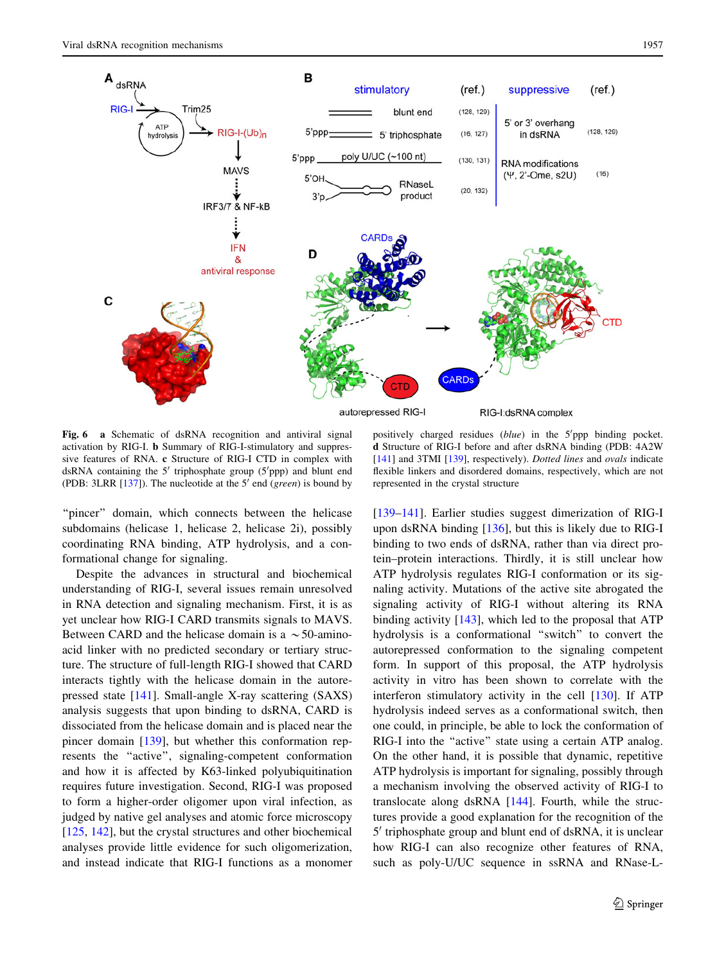

<span id="page-8-0"></span>

Fig. 6 a Schematic of dsRNA recognition and antiviral signal activation by RIG-I. b Summary of RIG-I-stimulatory and suppressive features of RNA. c Structure of RIG-I CTD in complex with dsRNA containing the 5' triphosphate group (5'ppp) and blunt end (PDB: 3LRR  $[137]$  $[137]$ ). The nucleotide at the 5' end (green) is bound by

positively charged residues (blue) in the 5'ppp binding pocket. d Structure of RIG-I before and after dsRNA binding (PDB: 4A2W [[141\]](#page-14-0) and 3TMI [[139](#page-14-0)], respectively). Dotted lines and ovals indicate flexible linkers and disordered domains, respectively, which are not represented in the crystal structure

"pincer" domain, which connects between the helicase subdomains (helicase 1, helicase 2, helicase 2i), possibly coordinating RNA binding, ATP hydrolysis, and a conformational change for signaling.

Despite the advances in structural and biochemical understanding of RIG-I, several issues remain unresolved in RNA detection and signaling mechanism. First, it is as yet unclear how RIG-I CARD transmits signals to MAVS. Between CARD and the helicase domain is a  $\sim$  50-aminoacid linker with no predicted secondary or tertiary structure. The structure of full-length RIG-I showed that CARD interacts tightly with the helicase domain in the autorepressed state [\[141](#page-14-0)]. Small-angle X-ray scattering (SAXS) analysis suggests that upon binding to dsRNA, CARD is dissociated from the helicase domain and is placed near the pincer domain [[139\]](#page-14-0), but whether this conformation represents the ''active'', signaling-competent conformation and how it is affected by K63-linked polyubiquitination requires future investigation. Second, RIG-I was proposed to form a higher-order oligomer upon viral infection, as judged by native gel analyses and atomic force microscopy [\[125](#page-14-0), [142\]](#page-14-0), but the crystal structures and other biochemical analyses provide little evidence for such oligomerization, and instead indicate that RIG-I functions as a monomer [\[139–141](#page-14-0)]. Earlier studies suggest dimerization of RIG-I upon dsRNA binding [\[136](#page-14-0)], but this is likely due to RIG-I binding to two ends of dsRNA, rather than via direct protein–protein interactions. Thirdly, it is still unclear how ATP hydrolysis regulates RIG-I conformation or its signaling activity. Mutations of the active site abrogated the signaling activity of RIG-I without altering its RNA binding activity [\[143](#page-14-0)], which led to the proposal that ATP hydrolysis is a conformational ''switch'' to convert the autorepressed conformation to the signaling competent form. In support of this proposal, the ATP hydrolysis activity in vitro has been shown to correlate with the interferon stimulatory activity in the cell [\[130](#page-14-0)]. If ATP hydrolysis indeed serves as a conformational switch, then one could, in principle, be able to lock the conformation of RIG-I into the ''active'' state using a certain ATP analog. On the other hand, it is possible that dynamic, repetitive ATP hydrolysis is important for signaling, possibly through a mechanism involving the observed activity of RIG-I to translocate along dsRNA [[144\]](#page-14-0). Fourth, while the structures provide a good explanation for the recognition of the  $5'$  triphosphate group and blunt end of dsRNA, it is unclear how RIG-I can also recognize other features of RNA, such as poly-U/UC sequence in ssRNA and RNase-L-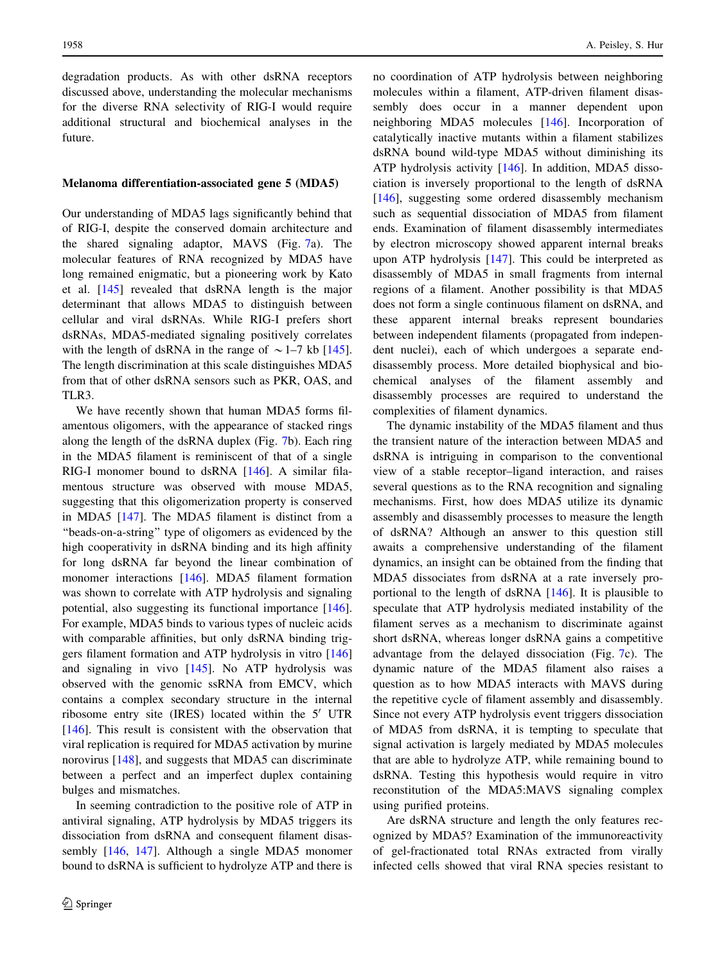degradation products. As with other dsRNA receptors discussed above, understanding the molecular mechanisms for the diverse RNA selectivity of RIG-I would require additional structural and biochemical analyses in the future.

#### Melanoma differentiation-associated gene 5 (MDA5)

Our understanding of MDA5 lags significantly behind that of RIG-I, despite the conserved domain architecture and the shared signaling adaptor, MAVS (Fig. [7](#page-10-0)a). The molecular features of RNA recognized by MDA5 have long remained enigmatic, but a pioneering work by Kato et al. [\[145](#page-14-0)] revealed that dsRNA length is the major determinant that allows MDA5 to distinguish between cellular and viral dsRNAs. While RIG-I prefers short dsRNAs, MDA5-mediated signaling positively correlates with the length of dsRNA in the range of  $\sim$  1–7 kb [\[145](#page-14-0)]. The length discrimination at this scale distinguishes MDA5 from that of other dsRNA sensors such as PKR, OAS, and TLR3.

We have recently shown that human MDA5 forms filamentous oligomers, with the appearance of stacked rings along the length of the dsRNA duplex (Fig. [7](#page-10-0)b). Each ring in the MDA5 filament is reminiscent of that of a single RIG-I monomer bound to dsRNA [[146\]](#page-14-0). A similar filamentous structure was observed with mouse MDA5, suggesting that this oligomerization property is conserved in MDA5 [\[147](#page-14-0)]. The MDA5 filament is distinct from a ''beads-on-a-string'' type of oligomers as evidenced by the high cooperativity in dsRNA binding and its high affinity for long dsRNA far beyond the linear combination of monomer interactions [[146\]](#page-14-0). MDA5 filament formation was shown to correlate with ATP hydrolysis and signaling potential, also suggesting its functional importance [\[146](#page-14-0)]. For example, MDA5 binds to various types of nucleic acids with comparable affinities, but only dsRNA binding triggers filament formation and ATP hydrolysis in vitro [[146\]](#page-14-0) and signaling in vivo [[145\]](#page-14-0). No ATP hydrolysis was observed with the genomic ssRNA from EMCV, which contains a complex secondary structure in the internal ribosome entry site (IRES) located within the  $5'$  UTR [\[146](#page-14-0)]. This result is consistent with the observation that viral replication is required for MDA5 activation by murine norovirus [[148\]](#page-14-0), and suggests that MDA5 can discriminate between a perfect and an imperfect duplex containing bulges and mismatches.

In seeming contradiction to the positive role of ATP in antiviral signaling, ATP hydrolysis by MDA5 triggers its dissociation from dsRNA and consequent filament disassembly [\[146](#page-14-0), [147\]](#page-14-0). Although a single MDA5 monomer bound to dsRNA is sufficient to hydrolyze ATP and there is no coordination of ATP hydrolysis between neighboring molecules within a filament, ATP-driven filament disassembly does occur in a manner dependent upon neighboring MDA5 molecules [\[146](#page-14-0)]. Incorporation of catalytically inactive mutants within a filament stabilizes dsRNA bound wild-type MDA5 without diminishing its ATP hydrolysis activity [[146\]](#page-14-0). In addition, MDA5 dissociation is inversely proportional to the length of dsRNA [\[146](#page-14-0)], suggesting some ordered disassembly mechanism such as sequential dissociation of MDA5 from filament ends. Examination of filament disassembly intermediates by electron microscopy showed apparent internal breaks upon ATP hydrolysis [[147\]](#page-14-0). This could be interpreted as disassembly of MDA5 in small fragments from internal regions of a filament. Another possibility is that MDA5 does not form a single continuous filament on dsRNA, and these apparent internal breaks represent boundaries between independent filaments (propagated from independent nuclei), each of which undergoes a separate enddisassembly process. More detailed biophysical and biochemical analyses of the filament assembly and disassembly processes are required to understand the complexities of filament dynamics.

The dynamic instability of the MDA5 filament and thus the transient nature of the interaction between MDA5 and dsRNA is intriguing in comparison to the conventional view of a stable receptor–ligand interaction, and raises several questions as to the RNA recognition and signaling mechanisms. First, how does MDA5 utilize its dynamic assembly and disassembly processes to measure the length of dsRNA? Although an answer to this question still awaits a comprehensive understanding of the filament dynamics, an insight can be obtained from the finding that MDA5 dissociates from dsRNA at a rate inversely proportional to the length of dsRNA [[146\]](#page-14-0). It is plausible to speculate that ATP hydrolysis mediated instability of the filament serves as a mechanism to discriminate against short dsRNA, whereas longer dsRNA gains a competitive advantage from the delayed dissociation (Fig. [7c](#page-10-0)). The dynamic nature of the MDA5 filament also raises a question as to how MDA5 interacts with MAVS during the repetitive cycle of filament assembly and disassembly. Since not every ATP hydrolysis event triggers dissociation of MDA5 from dsRNA, it is tempting to speculate that signal activation is largely mediated by MDA5 molecules that are able to hydrolyze ATP, while remaining bound to dsRNA. Testing this hypothesis would require in vitro reconstitution of the MDA5:MAVS signaling complex using purified proteins.

Are dsRNA structure and length the only features recognized by MDA5? Examination of the immunoreactivity of gel-fractionated total RNAs extracted from virally infected cells showed that viral RNA species resistant to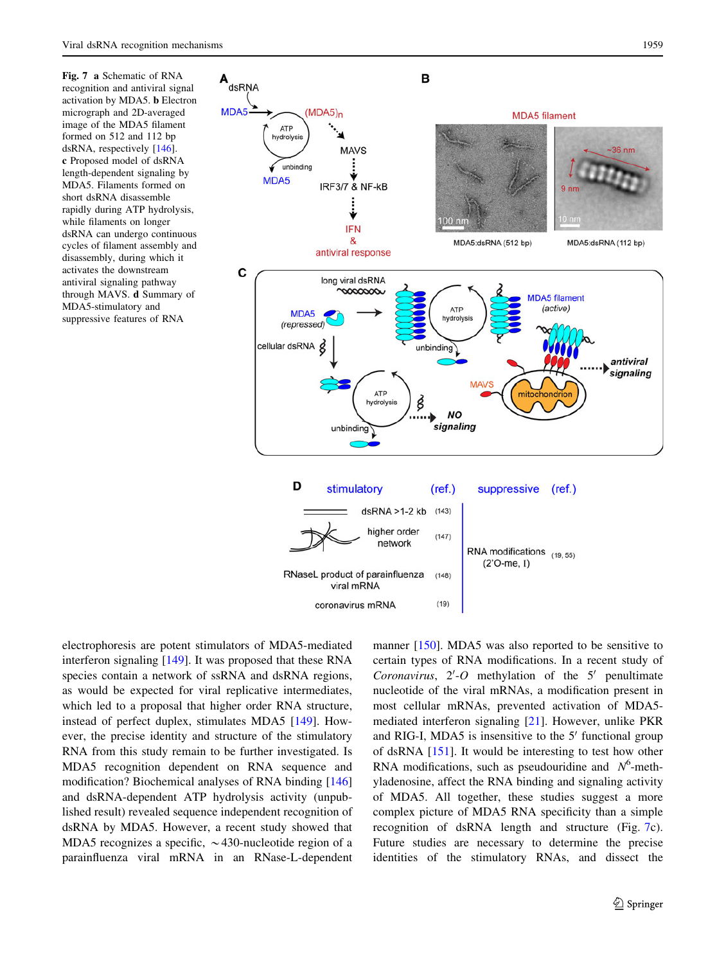<span id="page-10-0"></span>Fig. 7 a Schematic of RNA recognition and antiviral signal activation by MDA5. b Electron micrograph and 2D-averaged image of the MDA5 filament formed on 512 and 112 bp dsRNA, respectively [\[146\]](#page-14-0). c Proposed model of dsRNA length-dependent signaling by MDA5. Filaments formed on short dsRNA disassemble rapidly during ATP hydrolysis, while filaments on longer dsRNA can undergo continuous cycles of filament assembly and disassembly, during which it activates the downstream antiviral signaling pathway through MAVS. d Summary of MDA5-stimulatory and suppressive features of RNA



electrophoresis are potent stimulators of MDA5-mediated interferon signaling [\[149](#page-14-0)]. It was proposed that these RNA species contain a network of ssRNA and dsRNA regions, as would be expected for viral replicative intermediates, which led to a proposal that higher order RNA structure, instead of perfect duplex, stimulates MDA5 [[149\]](#page-14-0). However, the precise identity and structure of the stimulatory RNA from this study remain to be further investigated. Is MDA5 recognition dependent on RNA sequence and modification? Biochemical analyses of RNA binding [[146\]](#page-14-0) and dsRNA-dependent ATP hydrolysis activity (unpublished result) revealed sequence independent recognition of dsRNA by MDA5. However, a recent study showed that MDA5 recognizes a specific,  $\sim$  430-nucleotide region of a parainfluenza viral mRNA in an RNase-L-dependent

manner [[150\]](#page-14-0). MDA5 was also reported to be sensitive to certain types of RNA modifications. In a recent study of Coronavirus,  $2'-O$  methylation of the  $5'$  penultimate nucleotide of the viral mRNAs, a modification present in most cellular mRNAs, prevented activation of MDA5 mediated interferon signaling [[21\]](#page-11-0). However, unlike PKR and RIG-I, MDA5 is insensitive to the  $5'$  functional group of dsRNA [\[151](#page-14-0)]. It would be interesting to test how other RNA modifications, such as pseudouridine and  $N^6$ -methyladenosine, affect the RNA binding and signaling activity of MDA5. All together, these studies suggest a more complex picture of MDA5 RNA specificity than a simple recognition of dsRNA length and structure (Fig. 7c). Future studies are necessary to determine the precise identities of the stimulatory RNAs, and dissect the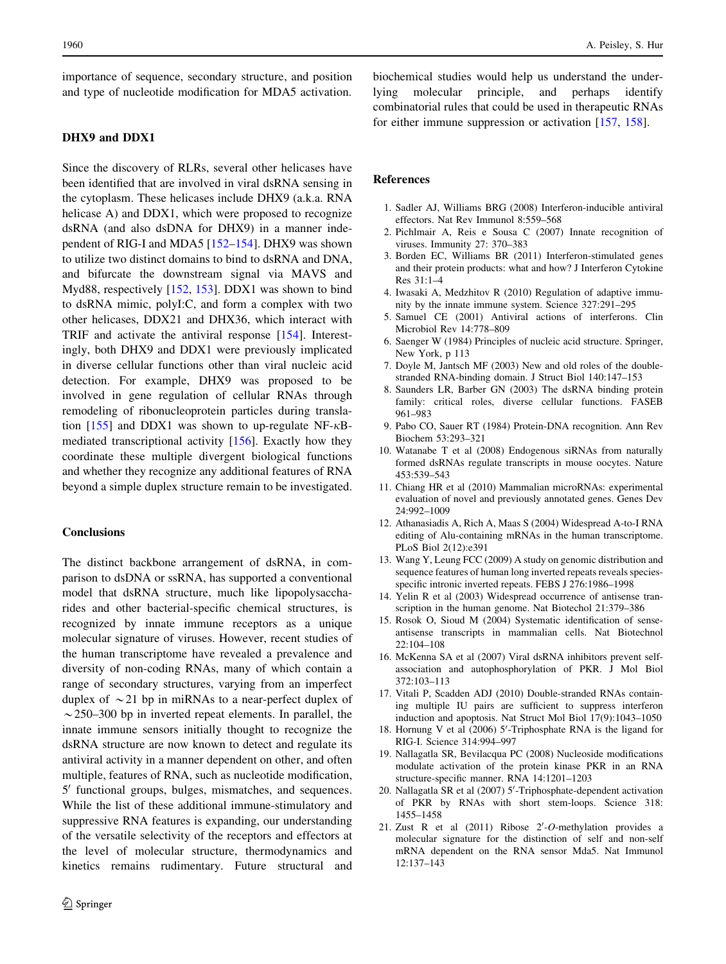<span id="page-11-0"></span>importance of sequence, secondary structure, and position and type of nucleotide modification for MDA5 activation.

# DHX9 and DDX1

Since the discovery of RLRs, several other helicases have been identified that are involved in viral dsRNA sensing in the cytoplasm. These helicases include DHX9 (a.k.a. RNA helicase A) and DDX1, which were proposed to recognize dsRNA (and also dsDNA for DHX9) in a manner independent of RIG-I and MDA5 [\[152–154](#page-14-0)]. DHX9 was shown to utilize two distinct domains to bind to dsRNA and DNA, and bifurcate the downstream signal via MAVS and Myd88, respectively [[152,](#page-14-0) [153](#page-14-0)]. DDX1 was shown to bind to dsRNA mimic, polyI:C, and form a complex with two other helicases, DDX21 and DHX36, which interact with TRIF and activate the antiviral response [\[154](#page-14-0)]. Interestingly, both DHX9 and DDX1 were previously implicated in diverse cellular functions other than viral nucleic acid detection. For example, DHX9 was proposed to be involved in gene regulation of cellular RNAs through remodeling of ribonucleoprotein particles during transla-tion [\[155](#page-14-0)] and DDX1 was shown to up-regulate NF- $\kappa$ Bmediated transcriptional activity [\[156](#page-14-0)]. Exactly how they coordinate these multiple divergent biological functions and whether they recognize any additional features of RNA beyond a simple duplex structure remain to be investigated.

# **Conclusions**

The distinct backbone arrangement of dsRNA, in comparison to dsDNA or ssRNA, has supported a conventional model that dsRNA structure, much like lipopolysaccharides and other bacterial-specific chemical structures, is recognized by innate immune receptors as a unique molecular signature of viruses. However, recent studies of the human transcriptome have revealed a prevalence and diversity of non-coding RNAs, many of which contain a range of secondary structures, varying from an imperfect duplex of  $\sim$  21 bp in miRNAs to a near-perfect duplex of  $\sim$  250–300 bp in inverted repeat elements. In parallel, the innate immune sensors initially thought to recognize the dsRNA structure are now known to detect and regulate its antiviral activity in a manner dependent on other, and often multiple, features of RNA, such as nucleotide modification, 5' functional groups, bulges, mismatches, and sequences. While the list of these additional immune-stimulatory and suppressive RNA features is expanding, our understanding of the versatile selectivity of the receptors and effectors at the level of molecular structure, thermodynamics and kinetics remains rudimentary. Future structural and biochemical studies would help us understand the underlying molecular principle, and perhaps identify combinatorial rules that could be used in therapeutic RNAs for either immune suppression or activation [[157,](#page-14-0) [158\]](#page-14-0).

#### References

- 1. Sadler AJ, Williams BRG (2008) Interferon-inducible antiviral effectors. Nat Rev Immunol 8:559–568
- 2. Pichlmair A, Reis e Sousa C (2007) Innate recognition of viruses. Immunity 27: 370–383
- 3. Borden EC, Williams BR (2011) Interferon-stimulated genes and their protein products: what and how? J Interferon Cytokine Res 31:1–4
- 4. Iwasaki A, Medzhitov R (2010) Regulation of adaptive immunity by the innate immune system. Science 327:291–295
- 5. Samuel CE (2001) Antiviral actions of interferons. Clin Microbiol Rev 14:778–809
- 6. Saenger W (1984) Principles of nucleic acid structure. Springer, New York, p 113
- 7. Doyle M, Jantsch MF (2003) New and old roles of the doublestranded RNA-binding domain. J Struct Biol 140:147–153
- 8. Saunders LR, Barber GN (2003) The dsRNA binding protein family: critical roles, diverse cellular functions. FASEB 961–983
- 9. Pabo CO, Sauer RT (1984) Protein-DNA recognition. Ann Rev Biochem 53:293–321
- 10. Watanabe T et al (2008) Endogenous siRNAs from naturally formed dsRNAs regulate transcripts in mouse oocytes. Nature 453:539–543
- 11. Chiang HR et al (2010) Mammalian microRNAs: experimental evaluation of novel and previously annotated genes. Genes Dev 24:992–1009
- 12. Athanasiadis A, Rich A, Maas S (2004) Widespread A-to-I RNA editing of Alu-containing mRNAs in the human transcriptome. PLoS Biol 2(12):e391
- 13. Wang Y, Leung FCC (2009) A study on genomic distribution and sequence features of human long inverted repeats reveals speciesspecific intronic inverted repeats. FEBS J 276:1986–1998
- 14. Yelin R et al (2003) Widespread occurrence of antisense transcription in the human genome. Nat Biotechol 21:379–386
- 15. Rosok O, Sioud M (2004) Systematic identification of senseantisense transcripts in mammalian cells. Nat Biotechnol 22:104–108
- 16. McKenna SA et al (2007) Viral dsRNA inhibitors prevent selfassociation and autophosphorylation of PKR. J Mol Biol 372:103–113
- 17. Vitali P, Scadden ADJ (2010) Double-stranded RNAs containing multiple IU pairs are sufficient to suppress interferon induction and apoptosis. Nat Struct Mol Biol 17(9):1043–1050
- 18. Hornung V et al (2006) 5'-Triphosphate RNA is the ligand for RIG-I. Science 314:994–997
- 19. Nallagatla SR, Bevilacqua PC (2008) Nucleoside modifications modulate activation of the protein kinase PKR in an RNA structure-specific manner. RNA 14:1201–1203
- 20. Nallagatla SR et al (2007) 5'-Triphosphate-dependent activation of PKR by RNAs with short stem-loops. Science 318: 1455–1458
- 21. Zust R et al  $(2011)$  Ribose  $2'-O$ -methylation provides a molecular signature for the distinction of self and non-self mRNA dependent on the RNA sensor Mda5. Nat Immunol 12:137–143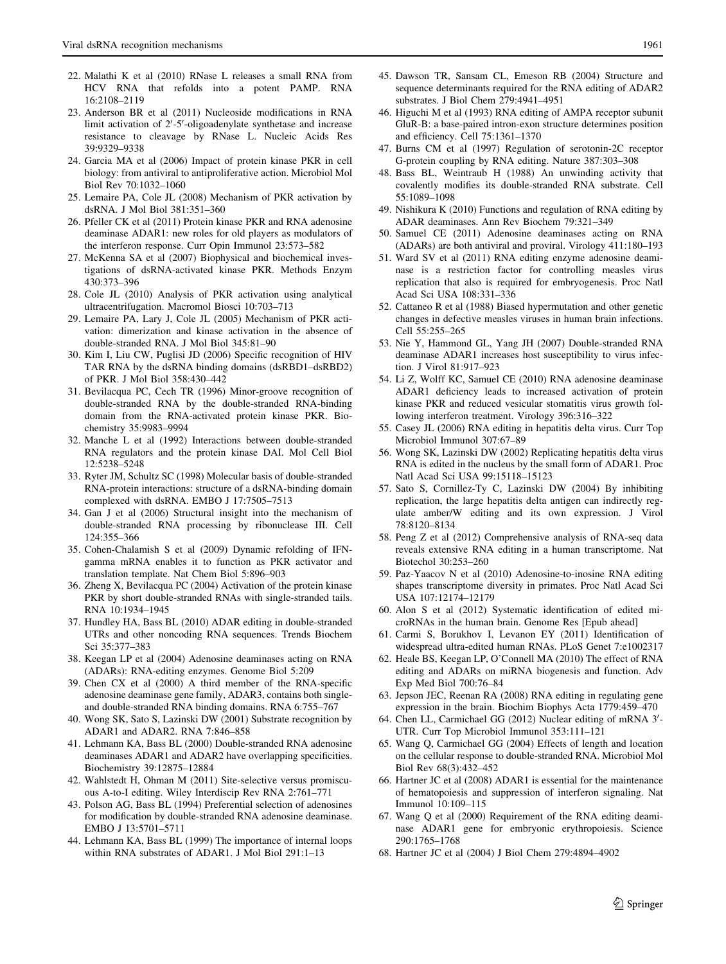- <span id="page-12-0"></span>22. Malathi K et al (2010) RNase L releases a small RNA from HCV RNA that refolds into a potent PAMP. RNA 16:2108–2119
- 23. Anderson BR et al (2011) Nucleoside modifications in RNA limit activation of 2'-5'-oligoadenylate synthetase and increase resistance to cleavage by RNase L. Nucleic Acids Res 39:9329–9338
- 24. Garcia MA et al (2006) Impact of protein kinase PKR in cell biology: from antiviral to antiproliferative action. Microbiol Mol Biol Rev 70:1032–1060
- 25. Lemaire PA, Cole JL (2008) Mechanism of PKR activation by dsRNA. J Mol Biol 381:351–360
- 26. Pfeller CK et al (2011) Protein kinase PKR and RNA adenosine deaminase ADAR1: new roles for old players as modulators of the interferon response. Curr Opin Immunol 23:573–582
- 27. McKenna SA et al (2007) Biophysical and biochemical investigations of dsRNA-activated kinase PKR. Methods Enzym 430:373–396
- 28. Cole JL (2010) Analysis of PKR activation using analytical ultracentrifugation. Macromol Biosci 10:703–713
- 29. Lemaire PA, Lary J, Cole JL (2005) Mechanism of PKR activation: dimerization and kinase activation in the absence of double-stranded RNA. J Mol Biol 345:81–90
- 30. Kim I, Liu CW, Puglisi JD (2006) Specific recognition of HIV TAR RNA by the dsRNA binding domains (dsRBD1–dsRBD2) of PKR. J Mol Biol 358:430–442
- 31. Bevilacqua PC, Cech TR (1996) Minor-groove recognition of double-stranded RNA by the double-stranded RNA-binding domain from the RNA-activated protein kinase PKR. Biochemistry 35:9983–9994
- 32. Manche L et al (1992) Interactions between double-stranded RNA regulators and the protein kinase DAI. Mol Cell Biol 12:5238–5248
- 33. Ryter JM, Schultz SC (1998) Molecular basis of double-stranded RNA-protein interactions: structure of a dsRNA-binding domain complexed with dsRNA. EMBO J 17:7505–7513
- 34. Gan J et al (2006) Structural insight into the mechanism of double-stranded RNA processing by ribonuclease III. Cell 124:355–366
- 35. Cohen-Chalamish S et al (2009) Dynamic refolding of IFNgamma mRNA enables it to function as PKR activator and translation template. Nat Chem Biol 5:896–903
- 36. Zheng X, Bevilacqua PC (2004) Activation of the protein kinase PKR by short double-stranded RNAs with single-stranded tails. RNA 10:1934–1945
- 37. Hundley HA, Bass BL (2010) ADAR editing in double-stranded UTRs and other noncoding RNA sequences. Trends Biochem Sci 35:377–383
- 38. Keegan LP et al (2004) Adenosine deaminases acting on RNA (ADARs): RNA-editing enzymes. Genome Biol 5:209
- 39. Chen CX et al (2000) A third member of the RNA-specific adenosine deaminase gene family, ADAR3, contains both singleand double-stranded RNA binding domains. RNA 6:755–767
- 40. Wong SK, Sato S, Lazinski DW (2001) Substrate recognition by ADAR1 and ADAR2. RNA 7:846–858
- 41. Lehmann KA, Bass BL (2000) Double-stranded RNA adenosine deaminases ADAR1 and ADAR2 have overlapping specificities. Biochemistry 39:12875–12884
- 42. Wahlstedt H, Ohman M (2011) Site-selective versus promiscuous A-to-I editing. Wiley Interdiscip Rev RNA 2:761–771
- 43. Polson AG, Bass BL (1994) Preferential selection of adenosines for modification by double-stranded RNA adenosine deaminase. EMBO J 13:5701–5711
- 44. Lehmann KA, Bass BL (1999) The importance of internal loops within RNA substrates of ADAR1. J Mol Biol 291:1–13
- 45. Dawson TR, Sansam CL, Emeson RB (2004) Structure and sequence determinants required for the RNA editing of ADAR2 substrates. J Biol Chem 279:4941–4951
- 46. Higuchi M et al (1993) RNA editing of AMPA receptor subunit GluR-B: a base-paired intron-exon structure determines position and efficiency. Cell 75:1361–1370
- 47. Burns CM et al (1997) Regulation of serotonin-2C receptor G-protein coupling by RNA editing. Nature 387:303–308
- 48. Bass BL, Weintraub H (1988) An unwinding activity that covalently modifies its double-stranded RNA substrate. Cell 55:1089–1098
- 49. Nishikura K (2010) Functions and regulation of RNA editing by ADAR deaminases. Ann Rev Biochem 79:321–349
- 50. Samuel CE (2011) Adenosine deaminases acting on RNA (ADARs) are both antiviral and proviral. Virology 411:180–193
- 51. Ward SV et al (2011) RNA editing enzyme adenosine deaminase is a restriction factor for controlling measles virus replication that also is required for embryogenesis. Proc Natl Acad Sci USA 108:331–336
- 52. Cattaneo R et al (1988) Biased hypermutation and other genetic changes in defective measles viruses in human brain infections. Cell 55:255-265
- 53. Nie Y, Hammond GL, Yang JH (2007) Double-stranded RNA deaminase ADAR1 increases host susceptibility to virus infection. J Virol 81:917–923
- 54. Li Z, Wolff KC, Samuel CE (2010) RNA adenosine deaminase ADAR1 deficiency leads to increased activation of protein kinase PKR and reduced vesicular stomatitis virus growth following interferon treatment. Virology 396:316–322
- 55. Casey JL (2006) RNA editing in hepatitis delta virus. Curr Top Microbiol Immunol 307:67–89
- 56. Wong SK, Lazinski DW (2002) Replicating hepatitis delta virus RNA is edited in the nucleus by the small form of ADAR1. Proc Natl Acad Sci USA 99:15118–15123
- 57. Sato S, Cornillez-Ty C, Lazinski DW (2004) By inhibiting replication, the large hepatitis delta antigen can indirectly regulate amber/W editing and its own expression. J Virol 78:8120–8134
- 58. Peng Z et al (2012) Comprehensive analysis of RNA-seq data reveals extensive RNA editing in a human transcriptome. Nat Biotechol 30:253–260
- 59. Paz-Yaacov N et al (2010) Adenosine-to-inosine RNA editing shapes transcriptome diversity in primates. Proc Natl Acad Sci USA 107:12174–12179
- 60. Alon S et al (2012) Systematic identification of edited microRNAs in the human brain. Genome Res [Epub ahead]
- 61. Carmi S, Borukhov I, Levanon EY (2011) Identification of widespread ultra-edited human RNAs. PLoS Genet 7:e1002317
- 62. Heale BS, Keegan LP, O'Connell MA (2010) The effect of RNA editing and ADARs on miRNA biogenesis and function. Adv Exp Med Biol 700:76–84
- 63. Jepson JEC, Reenan RA (2008) RNA editing in regulating gene expression in the brain. Biochim Biophys Acta 1779:459–470
- 64. Chen LL, Carmichael GG (2012) Nuclear editing of mRNA 3'-UTR. Curr Top Microbiol Immunol 353:111–121
- 65. Wang Q, Carmichael GG (2004) Effects of length and location on the cellular response to double-stranded RNA. Microbiol Mol Biol Rev 68(3):432–452
- 66. Hartner JC et al (2008) ADAR1 is essential for the maintenance of hematopoiesis and suppression of interferon signaling. Nat Immunol 10:109–115
- 67. Wang Q et al (2000) Requirement of the RNA editing deaminase ADAR1 gene for embryonic erythropoiesis. Science 290:1765–1768
- 68. Hartner JC et al (2004) J Biol Chem 279:4894–4902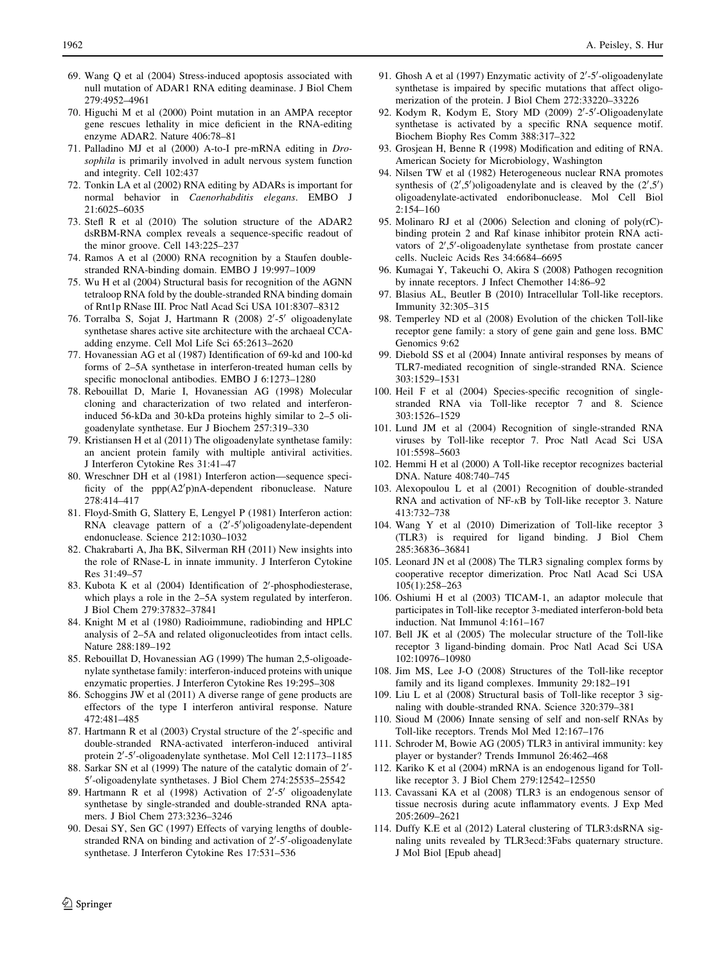- <span id="page-13-0"></span>69. Wang Q et al (2004) Stress-induced apoptosis associated with null mutation of ADAR1 RNA editing deaminase. J Biol Chem 279:4952–4961
- 70. Higuchi M et al (2000) Point mutation in an AMPA receptor gene rescues lethality in mice deficient in the RNA-editing enzyme ADAR2. Nature 406:78–81
- 71. Palladino MJ et al (2000) A-to-I pre-mRNA editing in Drosophila is primarily involved in adult nervous system function and integrity. Cell 102:437
- 72. Tonkin LA et al (2002) RNA editing by ADARs is important for normal behavior in Caenorhabditis elegans. EMBO J 21:6025–6035
- 73. Stefl R et al (2010) The solution structure of the ADAR2 dsRBM-RNA complex reveals a sequence-specific readout of the minor groove. Cell 143:225–237
- 74. Ramos A et al (2000) RNA recognition by a Staufen doublestranded RNA-binding domain. EMBO J 19:997–1009
- 75. Wu H et al (2004) Structural basis for recognition of the AGNN tetraloop RNA fold by the double-stranded RNA binding domain of Rnt1p RNase III. Proc Natl Acad Sci USA 101:8307–8312
- 76. Torralba S, Sojat J, Hartmann R (2008) 2'-5' oligoadenylate synthetase shares active site architecture with the archaeal CCAadding enzyme. Cell Mol Life Sci 65:2613–2620
- 77. Hovanessian AG et al (1987) Identification of 69-kd and 100-kd forms of 2–5A synthetase in interferon-treated human cells by specific monoclonal antibodies. EMBO J 6:1273–1280
- 78. Rebouillat D, Marie I, Hovanessian AG (1998) Molecular cloning and characterization of two related and interferoninduced 56-kDa and 30-kDa proteins highly similar to 2–5 oligoadenylate synthetase. Eur J Biochem 257:319–330
- 79. Kristiansen H et al (2011) The oligoadenylate synthetase family: an ancient protein family with multiple antiviral activities. J Interferon Cytokine Res 31:41–47
- 80. Wreschner DH et al (1981) Interferon action—sequence specificity of the ppp(A2'p)nA-dependent ribonuclease. Nature 278:414–417
- 81. Floyd-Smith G, Slattery E, Lengyel P (1981) Interferon action: RNA cleavage pattern of a  $(2'-5')$ oligoadenylate-dependent endonuclease. Science 212:1030–1032
- 82. Chakrabarti A, Jha BK, Silverman RH (2011) New insights into the role of RNase-L in innate immunity. J Interferon Cytokine Res 31:49–57
- 83. Kubota K et al (2004) Identification of 2'-phosphodiesterase, which plays a role in the 2–5A system regulated by interferon. J Biol Chem 279:37832–37841
- 84. Knight M et al (1980) Radioimmune, radiobinding and HPLC analysis of 2–5A and related oligonucleotides from intact cells. Nature 288:189–192
- 85. Rebouillat D, Hovanessian AG (1999) The human 2,5-oligoadenylate synthetase family: interferon-induced proteins with unique enzymatic properties. J Interferon Cytokine Res 19:295–308
- 86. Schoggins JW et al (2011) A diverse range of gene products are effectors of the type I interferon antiviral response. Nature 472:481–485
- 87. Hartmann R et al (2003) Crystal structure of the 2'-specific and double-stranded RNA-activated interferon-induced antiviral protein 2'-5'-oligoadenylate synthetase. Mol Cell 12:1173-1185
- 88. Sarkar SN et al (1999) The nature of the catalytic domain of 2'-5'-oligoadenylate synthetases. J Biol Chem 274:25535-25542
- 89. Hartmann R et al (1998) Activation of 2'-5' oligoadenylate synthetase by single-stranded and double-stranded RNA aptamers. J Biol Chem 273:3236–3246
- 90. Desai SY, Sen GC (1997) Effects of varying lengths of doublestranded RNA on binding and activation of 2'-5'-oligoadenylate synthetase. J Interferon Cytokine Res 17:531–536
- 91. Ghosh A et al (1997) Enzymatic activity of 2'-5'-oligoadenylate synthetase is impaired by specific mutations that affect oligomerization of the protein. J Biol Chem 272:33220–33226
- 92. Kodym R, Kodym E, Story MD (2009) 2'-5'-Oligoadenylate synthetase is activated by a specific RNA sequence motif. Biochem Biophy Res Comm 388:317–322
- 93. Grosjean H, Benne R (1998) Modification and editing of RNA. American Society for Microbiology, Washington
- 94. Nilsen TW et al (1982) Heterogeneous nuclear RNA promotes synthesis of  $(2', 5')$ oligoadenylate and is cleaved by the  $(2', 5')$ oligoadenylate-activated endoribonuclease. Mol Cell Biol 2:154–160
- 95. Molinaro RJ et al (2006) Selection and cloning of poly(rC) binding protein 2 and Raf kinase inhibitor protein RNA activators of 2',5'-oligoadenylate synthetase from prostate cancer cells. Nucleic Acids Res 34:6684–6695
- 96. Kumagai Y, Takeuchi O, Akira S (2008) Pathogen recognition by innate receptors. J Infect Chemother 14:86–92
- 97. Blasius AL, Beutler B (2010) Intracellular Toll-like receptors. Immunity 32:305–315
- 98. Temperley ND et al (2008) Evolution of the chicken Toll-like receptor gene family: a story of gene gain and gene loss. BMC Genomics 9:62
- 99. Diebold SS et al (2004) Innate antiviral responses by means of TLR7-mediated recognition of single-stranded RNA. Science 303:1529–1531
- 100. Heil F et al (2004) Species-specific recognition of singlestranded RNA via Toll-like receptor 7 and 8. Science 303:1526–1529
- 101. Lund JM et al (2004) Recognition of single-stranded RNA viruses by Toll-like receptor 7. Proc Natl Acad Sci USA 101:5598–5603
- 102. Hemmi H et al (2000) A Toll-like receptor recognizes bacterial DNA. Nature 408:740–745
- 103. Alexopoulou L et al (2001) Recognition of double-stranded RNA and activation of  $NF-\kappa B$  by Toll-like receptor 3. Nature 413:732–738
- 104. Wang Y et al (2010) Dimerization of Toll-like receptor 3 (TLR3) is required for ligand binding. J Biol Chem 285:36836–36841
- 105. Leonard JN et al (2008) The TLR3 signaling complex forms by cooperative receptor dimerization. Proc Natl Acad Sci USA 105(1):258–263
- 106. Oshiumi H et al (2003) TICAM-1, an adaptor molecule that participates in Toll-like receptor 3-mediated interferon-bold beta induction. Nat Immunol 4:161–167
- 107. Bell JK et al (2005) The molecular structure of the Toll-like receptor 3 ligand-binding domain. Proc Natl Acad Sci USA 102:10976–10980
- 108. Jim MS, Lee J-O (2008) Structures of the Toll-like receptor family and its ligand complexes. Immunity 29:182–191
- 109. Liu L et al (2008) Structural basis of Toll-like receptor 3 signaling with double-stranded RNA. Science 320:379–381
- 110. Sioud M (2006) Innate sensing of self and non-self RNAs by Toll-like receptors. Trends Mol Med 12:167–176
- 111. Schroder M, Bowie AG (2005) TLR3 in antiviral immunity: key player or bystander? Trends Immunol 26:462–468
- 112. Kariko K et al (2004) mRNA is an endogenous ligand for Tolllike receptor 3. J Biol Chem 279:12542–12550
- 113. Cavassani KA et al (2008) TLR3 is an endogenous sensor of tissue necrosis during acute inflammatory events. J Exp Med 205:2609–2621
- 114. Duffy K.E et al (2012) Lateral clustering of TLR3:dsRNA signaling units revealed by TLR3ecd:3Fabs quaternary structure. J Mol Biol [Epub ahead]